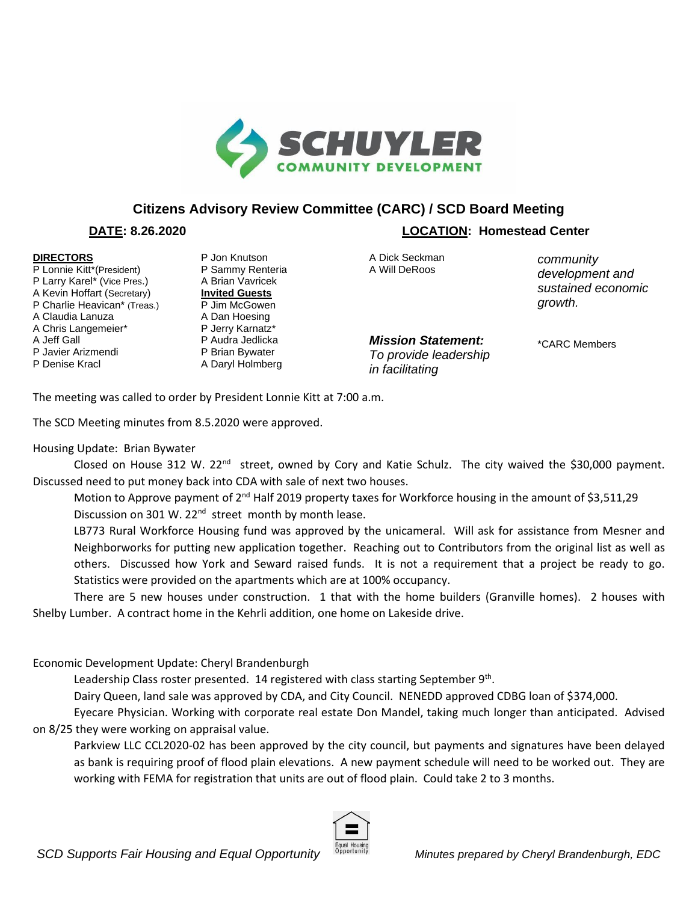

## **Citizens Advisory Review Committee (CARC) / SCD Board Meeting**

## **DIRECTORS**

P Lonnie Kitt\*(President) P Larry Karel\* (Vice Pres.) A Kevin Hoffart (Secretary) P Charlie Heavican\* (Treas.) A Claudia Lanuza A Chris Langemeier\* A Jeff Gall P Javier Arizmendi P Denise Kracl

P Jon Knutson P Sammy Renteria A Brian Vavricek **Invited Guests** P Jim McGowen A Dan Hoesing P Jerry Karnatz\* P Audra Jedlicka P Brian Bywater A Daryl Holmberg

 **DATE: 8.26.2020 LOCATION: Homestead Center**

A Dick Seckman A Will DeRoos

*community development and sustained economic growth.* 

*Mission Statement: To provide leadership in facilitating* 

\*CARC Members

The meeting was called to order by President Lonnie Kitt at 7:00 a.m.

The SCD Meeting minutes from 8.5.2020 were approved.

## Housing Update: Brian Bywater

Closed on House 312 W. 22<sup>nd</sup> street, owned by Cory and Katie Schulz. The city waived the \$30,000 payment. Discussed need to put money back into CDA with sale of next two houses.

Motion to Approve payment of 2<sup>nd</sup> Half 2019 property taxes for Workforce housing in the amount of \$3,511,29 Discussion on 301 W. 22<sup>nd</sup> street month by month lease.

LB773 Rural Workforce Housing fund was approved by the unicameral. Will ask for assistance from Mesner and Neighborworks for putting new application together. Reaching out to Contributors from the original list as well as others. Discussed how York and Seward raised funds. It is not a requirement that a project be ready to go. Statistics were provided on the apartments which are at 100% occupancy.

There are 5 new houses under construction. 1 that with the home builders (Granville homes). 2 houses with Shelby Lumber. A contract home in the Kehrli addition, one home on Lakeside drive.

Economic Development Update: Cheryl Brandenburgh

Leadership Class roster presented.  $14$  registered with class starting September  $9<sup>th</sup>$ .

Dairy Queen, land sale was approved by CDA, and City Council. NENEDD approved CDBG loan of \$374,000.

Eyecare Physician. Working with corporate real estate Don Mandel, taking much longer than anticipated. Advised on 8/25 they were working on appraisal value.

Parkview LLC CCL2020-02 has been approved by the city council, but payments and signatures have been delayed as bank is requiring proof of flood plain elevations. A new payment schedule will need to be worked out. They are working with FEMA for registration that units are out of flood plain. Could take 2 to 3 months.